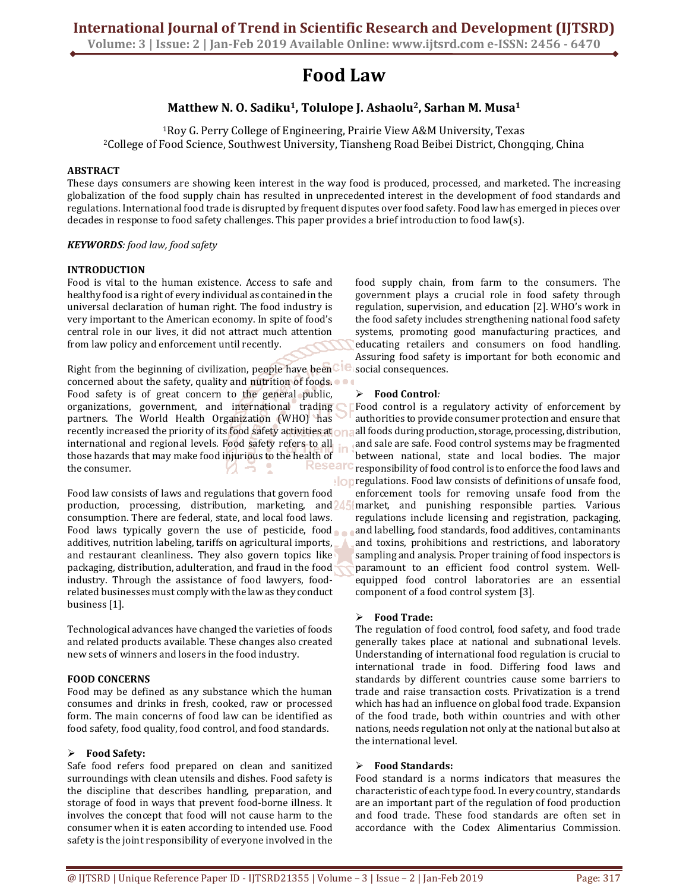**Volume: 3 | Issue: 2 | Jan-Feb 2019 Available Online: www.ijtsrd.com e-ISSN: 2456 - 6470**

# **Food Law**

## **Matthew N. O. Sadiku1, Tolulope J. Ashaolu2, Sarhan M. Musa<sup>1</sup>**

<sup>1</sup>Roy G. Perry College of Engineering, Prairie View A&M University, Texas <sup>2</sup>College of Food Science, Southwest University, Tiansheng Road Beibei District, Chongqing, China

#### **ABSTRACT**

These days consumers are showing keen interest in the way food is produced, processed, and marketed. The increasing globalization of the food supply chain has resulted in unprecedented interest in the development of food standards and regulations. International food trade is disrupted by frequent disputes over food safety. Food law has emerged in pieces over decades in response to food safety challenges. This paper provides a brief introduction to food law(s).

#### *KEYWORDS: food law, food safety*

### **INTRODUCTION**

Food is vital to the human existence. Access to safe and healthy food is a right of every individual as contained in the universal declaration of human right. The food industry is very important to the American economy. In spite of food's central role in our lives, it did not attract much attention from law policy and enforcement until recently.

Right from the beginning of civilization, people have been CIC concerned about the safety, quality and nutrition of foods. Food safety is of great concern to the general public, organizations, government, and international trading partners. The World Health Organization (WHO) has recently increased the priority of its food safety activities at one international and regional levels. Food safety refers to all those hazards that may make food injurious to the health of<br>the consumer the consumer.

Food law consists of laws and regulations that govern food production, processing, distribution, marketing, and 245 consumption. There are federal, state, and local food laws. Food laws typically govern the use of pesticide, food additives, nutrition labeling, tariffs on agricultural imports, and restaurant cleanliness. They also govern topics like packaging, distribution, adulteration, and fraud in the food industry. Through the assistance of food lawyers, foodrelated businesses must comply with the law as they conduct business [1].

Technological advances have changed the varieties of foods and related products available. These changes also created new sets of winners and losers in the food industry.

#### **FOOD CONCERNS**

Food may be defined as any substance which the human consumes and drinks in fresh, cooked, raw or processed form. The main concerns of food law can be identified as food safety, food quality, food control, and food standards.

#### **Food Safety:**

Safe food refers food prepared on clean and sanitized surroundings with clean utensils and dishes. Food safety is the discipline that describes handling, preparation, and storage of food in ways that prevent food-borne illness. It involves the concept that food will not cause harm to the consumer when it is eaten according to intended use. Food safety is the joint responsibility of everyone involved in the

food supply chain, from farm to the consumers. The government plays a crucial role in food safety through regulation, supervision, and education [2]. WHO's work in the food safety includes strengthening national food safety systems, promoting good manufacturing practices, and educating retailers and consumers on food handling. Assuring food safety is important for both economic and social consequences.

### **Food Control***:*

Food control is a regulatory activity of enforcement by authorities to provide consumer protection and ensure that all foods during production, storage, processing, distribution, and sale are safe. Food control systems may be fragmented between national, state and local bodies. The major responsibility of food control is to enforce the food laws and **on** regulations. Food law consists of definitions of unsafe food, enforcement tools for removing unsafe food from the market, and punishing responsible parties. Various regulations include licensing and registration, packaging, and labelling, food standards, food additives, contaminants and toxins, prohibitions and restrictions, and laboratory sampling and analysis. Proper training of food inspectors is paramount to an efficient food control system. Wellequipped food control laboratories are an essential component of a food control system [3].

#### **Food Trade:**

The regulation of food control, food safety, and food trade generally takes place at national and subnational levels. Understanding of international food regulation is crucial to international trade in food. Differing food laws and standards by different countries cause some barriers to trade and raise transaction costs. Privatization is a trend which has had an influence on global food trade. Expansion of the food trade, both within countries and with other nations, needs regulation not only at the national but also at the international level.

#### **Food Standards:**

Food standard is a norms indicators that measures the characteristic of each type food. In every country, standards are an important part of the regulation of food production and food trade. These food standards are often set in accordance with the Codex Alimentarius Commission.